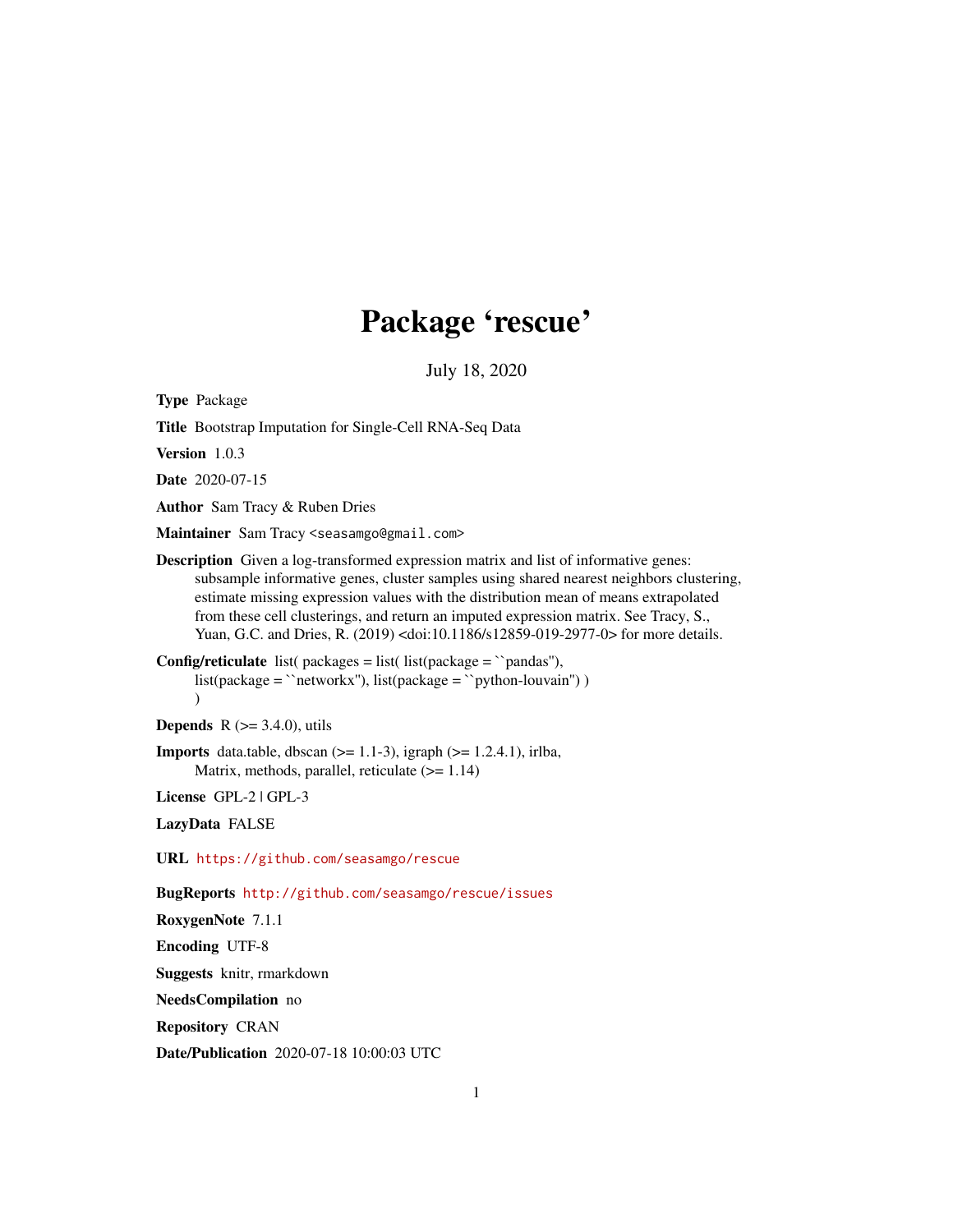## Package 'rescue'

July 18, 2020

Type Package

Title Bootstrap Imputation for Single-Cell RNA-Seq Data

Version 1.0.3

Date 2020-07-15

Author Sam Tracy & Ruben Dries

Maintainer Sam Tracy <seasamgo@gmail.com>

Description Given a log-transformed expression matrix and list of informative genes: subsample informative genes, cluster samples using shared nearest neighbors clustering, estimate missing expression values with the distribution mean of means extrapolated from these cell clusterings, and return an imputed expression matrix. See Tracy, S., Yuan, G.C. and Dries, R. (2019) <doi:10.1186/s12859-019-2977-0> for more details.

**Config/reticulate** list( $\text{packages} = \text{list}(\text{list}(\text{package} = \text{``pandas''}),$  $list(package = 'networkx'')$ ,  $list(package = 'python-louvain'')$ )  $\lambda$ 

**Depends** R  $(>= 3.4.0)$ , utils

**Imports** data.table, dbscan  $(>= 1.1-3)$ , igraph  $(>= 1.2.4.1)$ , irlba, Matrix, methods, parallel, reticulate (>= 1.14)

License GPL-2 | GPL-3

LazyData FALSE

URL <https://github.com/seasamgo/rescue>

BugReports <http://github.com/seasamgo/rescue/issues>

RoxygenNote 7.1.1

Encoding UTF-8

Suggests knitr, rmarkdown

NeedsCompilation no

Repository CRAN

Date/Publication 2020-07-18 10:00:03 UTC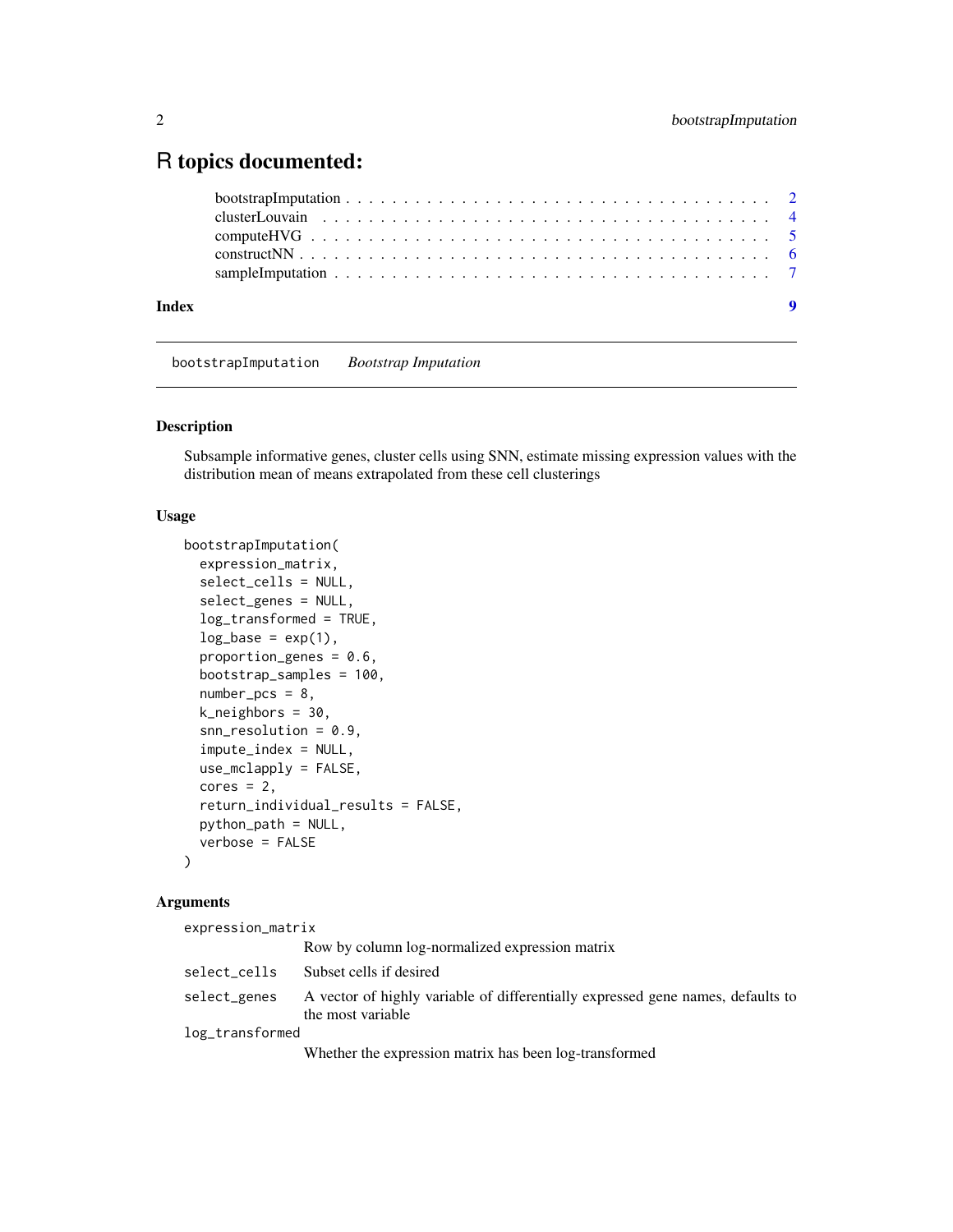### <span id="page-1-0"></span>R topics documented:

|       | $\overline{\mathbf{9}}$ |
|-------|-------------------------|
| Index |                         |

bootstrapImputation *Bootstrap Imputation*

#### Description

Subsample informative genes, cluster cells using SNN, estimate missing expression values with the distribution mean of means extrapolated from these cell clusterings

#### Usage

```
bootstrapImputation(
  expression_matrix,
  select_cells = NULL,
  select_genes = NULL,
  log_transformed = TRUE,
  log\_base = exp(1),
  proportion_genes = 0.6,
  bootstrap_samples = 100,
  number_pcs = 8,
  k_neighbors = 30,
  snn\_resolution = 0.9,
  impute_index = NULL,
  use_mclapply = FALSE,
  cores = 2,return_individual_results = FALSE,
  python_path = NULL,
  verbose = FALSE
\mathcal{L}
```
#### Arguments

| expression_matrix |                                                                                                      |
|-------------------|------------------------------------------------------------------------------------------------------|
|                   | Row by column log-normalized expression matrix                                                       |
| select_cells      | Subset cells if desired                                                                              |
| select_genes      | A vector of highly variable of differentially expressed gene names, defaults to<br>the most variable |
| log_transformed   |                                                                                                      |
|                   | Whether the expression matrix has been log-transformed                                               |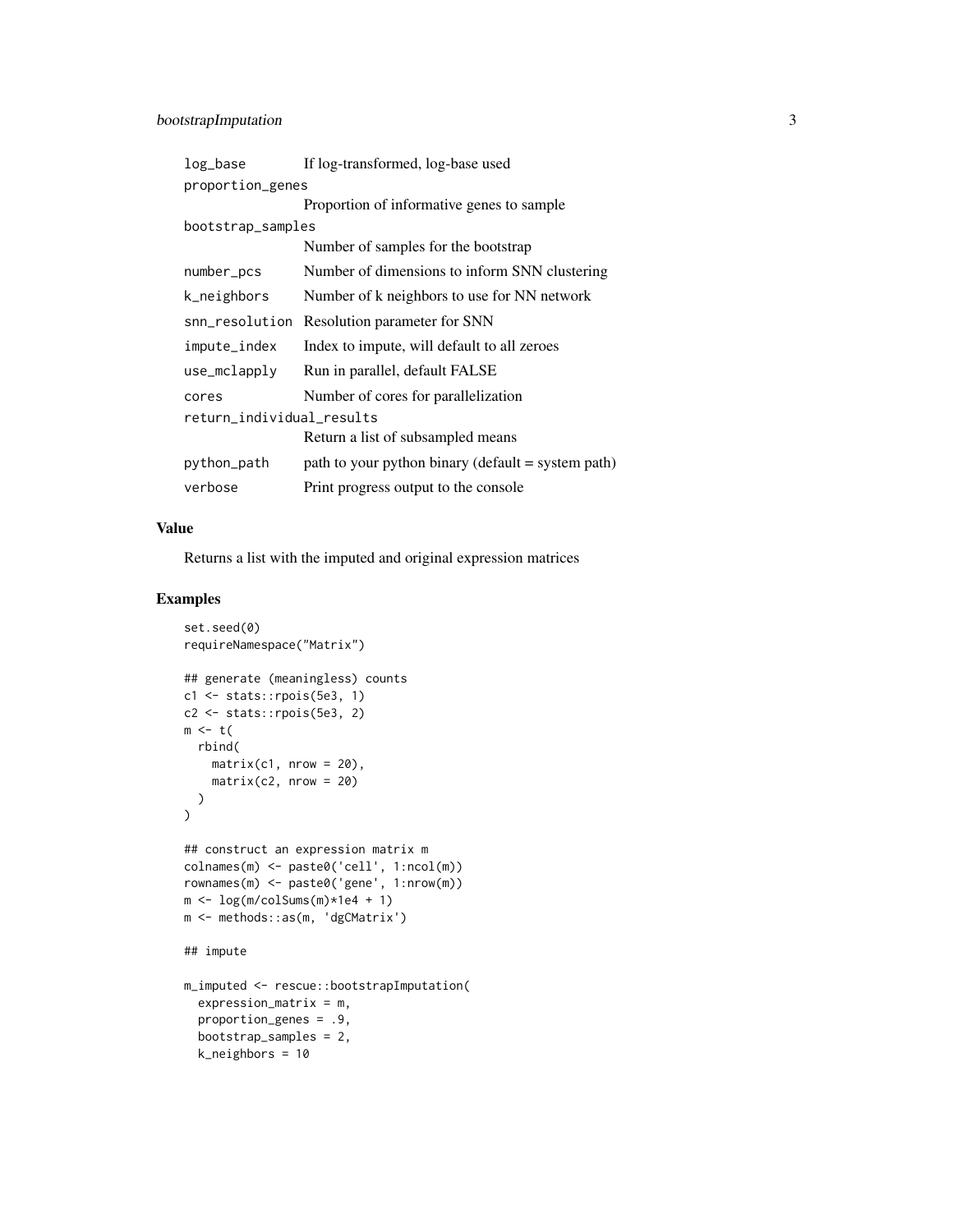| log_base                  | If log-transformed, log-base used                    |  |  |  |  |  |
|---------------------------|------------------------------------------------------|--|--|--|--|--|
| proportion_genes          |                                                      |  |  |  |  |  |
|                           | Proportion of informative genes to sample            |  |  |  |  |  |
| bootstrap_samples         |                                                      |  |  |  |  |  |
|                           | Number of samples for the bootstrap                  |  |  |  |  |  |
| number_pcs                | Number of dimensions to inform SNN clustering        |  |  |  |  |  |
| k_neighbors               | Number of k neighbors to use for NN network          |  |  |  |  |  |
| snn_resolution            | Resolution parameter for SNN                         |  |  |  |  |  |
| impute_index              | Index to impute, will default to all zeroes          |  |  |  |  |  |
| use_mclapply              | Run in parallel, default FALSE                       |  |  |  |  |  |
| cores                     | Number of cores for parallelization                  |  |  |  |  |  |
| return_individual_results |                                                      |  |  |  |  |  |
|                           | Return a list of subsampled means                    |  |  |  |  |  |
| python_path               | path to your python binary (default $=$ system path) |  |  |  |  |  |
| verbose                   | Print progress output to the console                 |  |  |  |  |  |

#### Value

Returns a list with the imputed and original expression matrices

#### Examples

```
set.seed(0)
requireNamespace("Matrix")
## generate (meaningless) counts
c1 <- stats::rpois(5e3, 1)
c2 <- stats::rpois(5e3, 2)
m \leq t(
  rbind(
    matrix(c1, nrow = 20),
    matrix(c2, nrow = 20))
)
## construct an expression matrix m
colnames(m) <- paste0('cell', 1:ncol(m))
rownames(m) <- paste0('gene', 1:nrow(m))
m <- log(m/colSums(m)*1e4 + 1)
m <- methods::as(m, 'dgCMatrix')
## impute
m_imputed <- rescue::bootstrapImputation(
  expression_matrix = m,
  proportion_genes = .9,
  bootstrap_samples = 2,
  k_neighbors = 10
```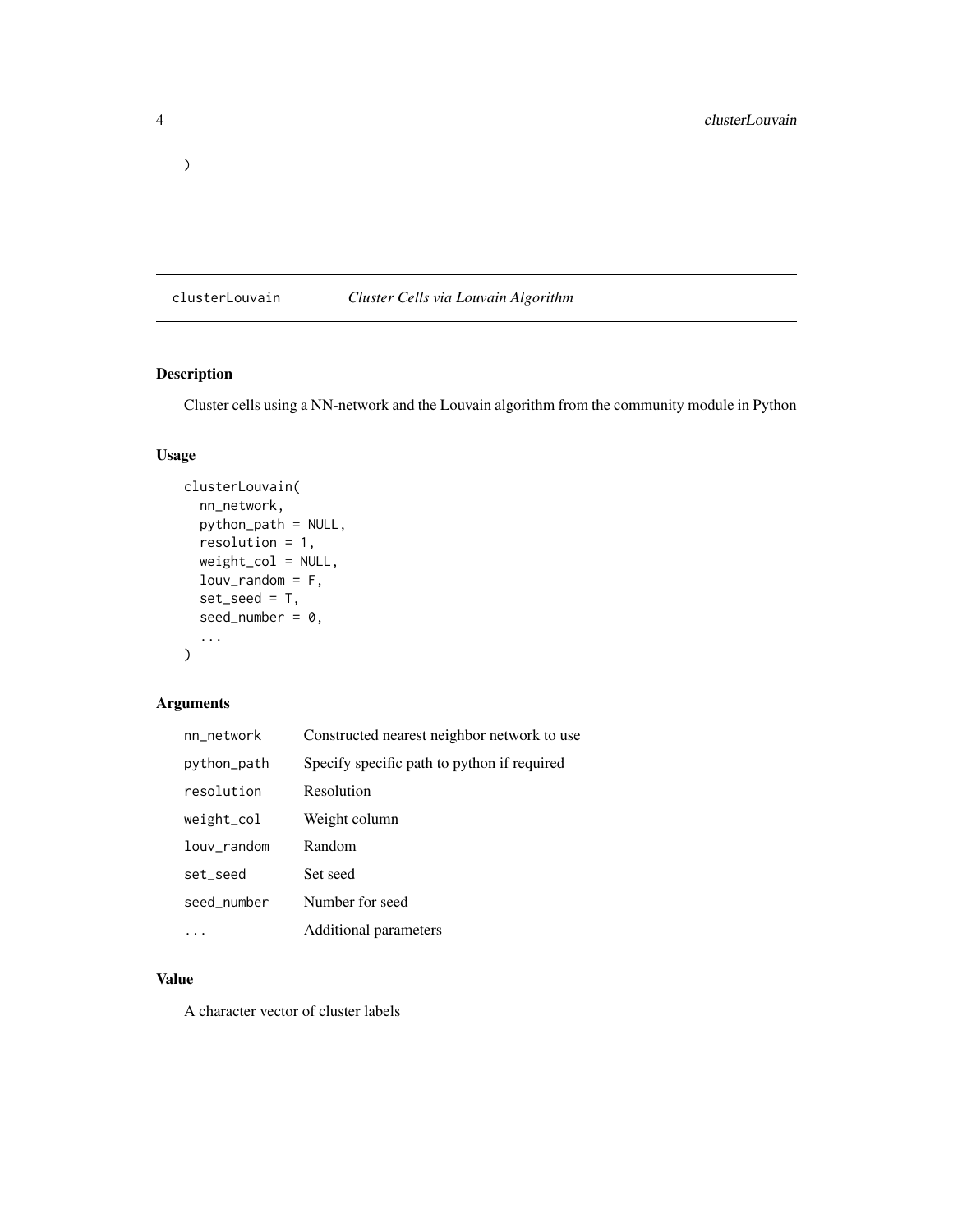#### clusterLouvain *Cluster Cells via Louvain Algorithm*

#### Description

Cluster cells using a NN-network and the Louvain algorithm from the community module in Python

#### Usage

```
clusterLouvain(
 nn_network,
 python_path = NULL,
  resolution = 1,
 weight_col = NULL,
  louv_random = F,
  set\_seed = T,
  seed_number = 0,
  ...
)
```
#### Arguments

| nn_network         | Constructed nearest neighbor network to use |
|--------------------|---------------------------------------------|
| python_path        | Specify specific path to python if required |
| resolution         | Resolution                                  |
| weight_col         | Weight column                               |
| $1$ ouv $_$ random | Random                                      |
| set_seed           | Set seed                                    |
| seed_number        | Number for seed                             |
|                    | Additional parameters                       |

#### Value

A character vector of cluster labels

<span id="page-3-0"></span>)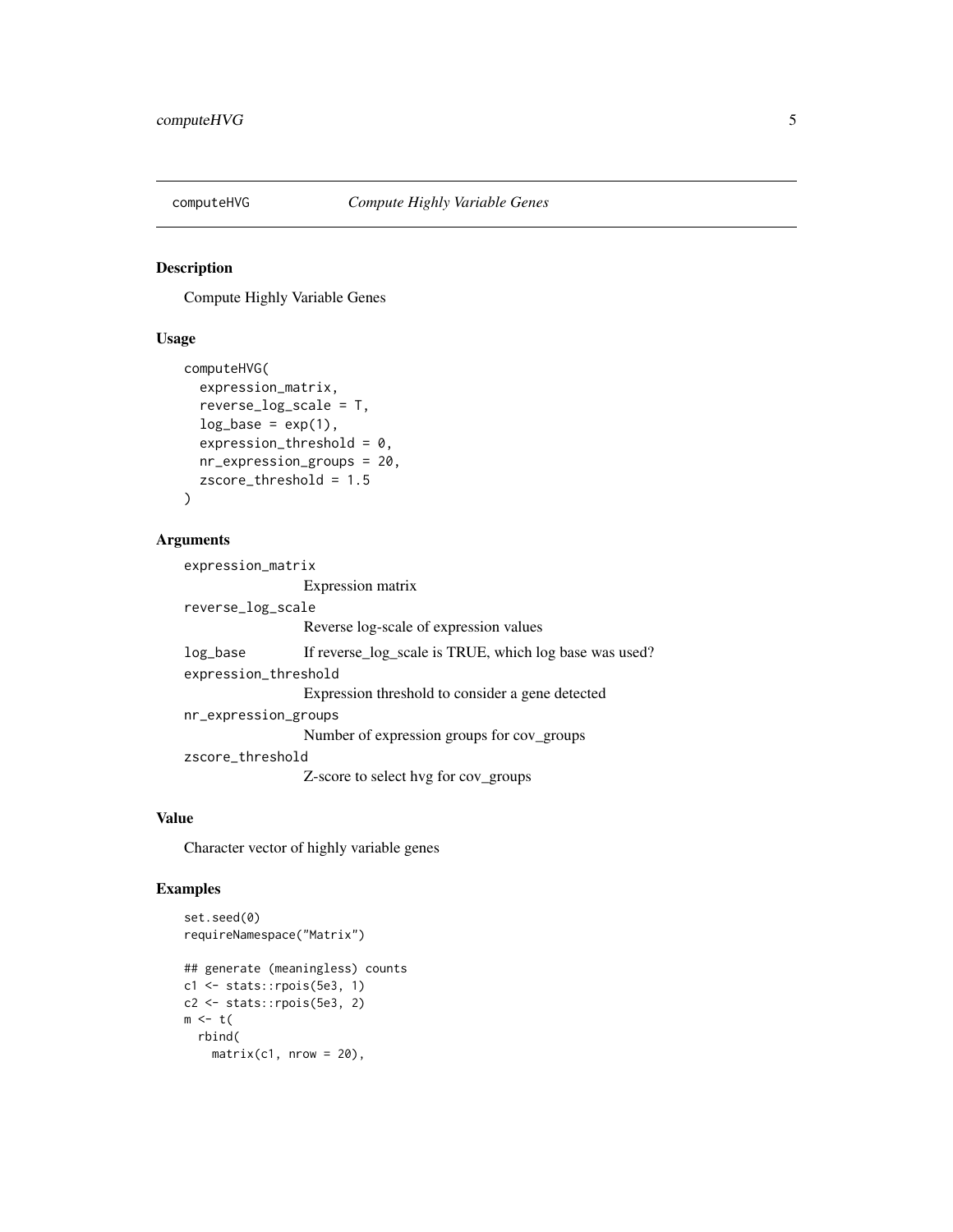<span id="page-4-0"></span>

#### Description

Compute Highly Variable Genes

#### Usage

```
computeHVG(
  expression_matrix,
  reverse_log_scale = T,
  log\_base = exp(1),
  expression_threshold = 0,
 nr_expression_groups = 20,
  zscore_threshold = 1.5
)
```
#### Arguments

```
expression_matrix
                 Expression matrix
reverse_log_scale
                 Reverse log-scale of expression values
log_base If reverse_log_scale is TRUE, which log base was used?
expression_threshold
                 Expression threshold to consider a gene detected
nr_expression_groups
                 Number of expression groups for cov_groups
zscore_threshold
                 Z-score to select hvg for cov_groups
```
#### Value

Character vector of highly variable genes

#### Examples

```
set.seed(0)
requireNamespace("Matrix")
## generate (meaningless) counts
c1 <- stats::rpois(5e3, 1)
c2 <- stats::rpois(5e3, 2)
m \leftarrow t(
  rbind(
    matrix(c1, nrow = 20),
```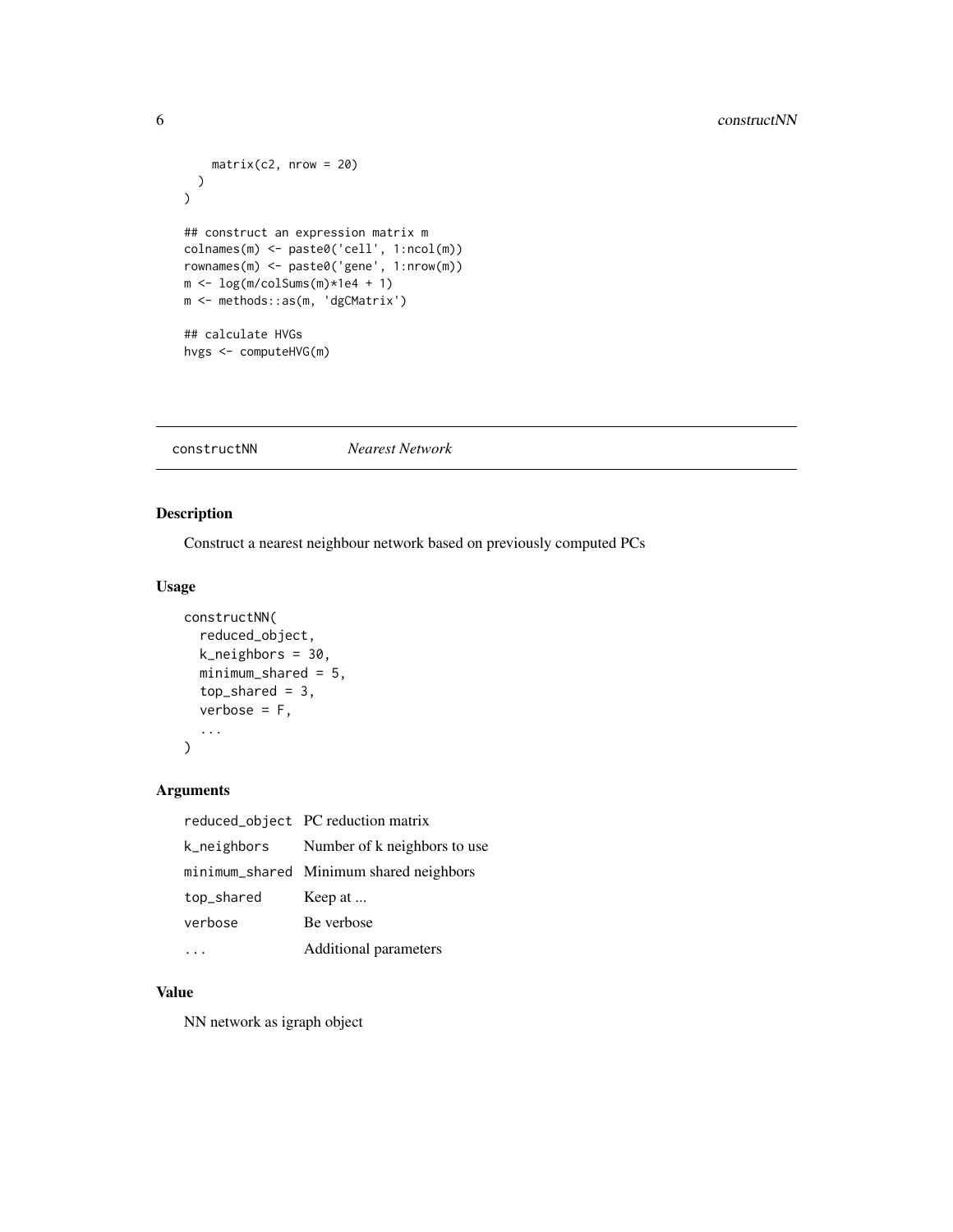```
matrix(c2, nrow = 20))
)
## construct an expression matrix m
colnames(m) <- paste0('cell', 1:ncol(m))
rownames(m) <- paste0('gene', 1:nrow(m))
m \leftarrow \log(m/\text{colSums}(m) \times 1e4 + 1)m <- methods::as(m, 'dgCMatrix')
## calculate HVGs
hvgs <- computeHVG(m)
```
constructNN *Nearest Network*

#### Description

Construct a nearest neighbour network based on previously computed PCs

#### Usage

```
constructNN(
  reduced_object,
  k_neighbors = 30,
  minimum_shared = 5,
  top\_shared = 3,
  verbose = F,
  ...
)
```
#### Arguments

|            | reduced_object PC reduction matrix       |
|------------|------------------------------------------|
|            | k_neighbors Number of k neighbors to use |
|            | minimum_shared Minimum shared neighbors  |
| top_shared | Keep at                                  |
| verbose    | Be verbose                               |
|            | Additional parameters                    |

#### Value

NN network as igraph object

<span id="page-5-0"></span>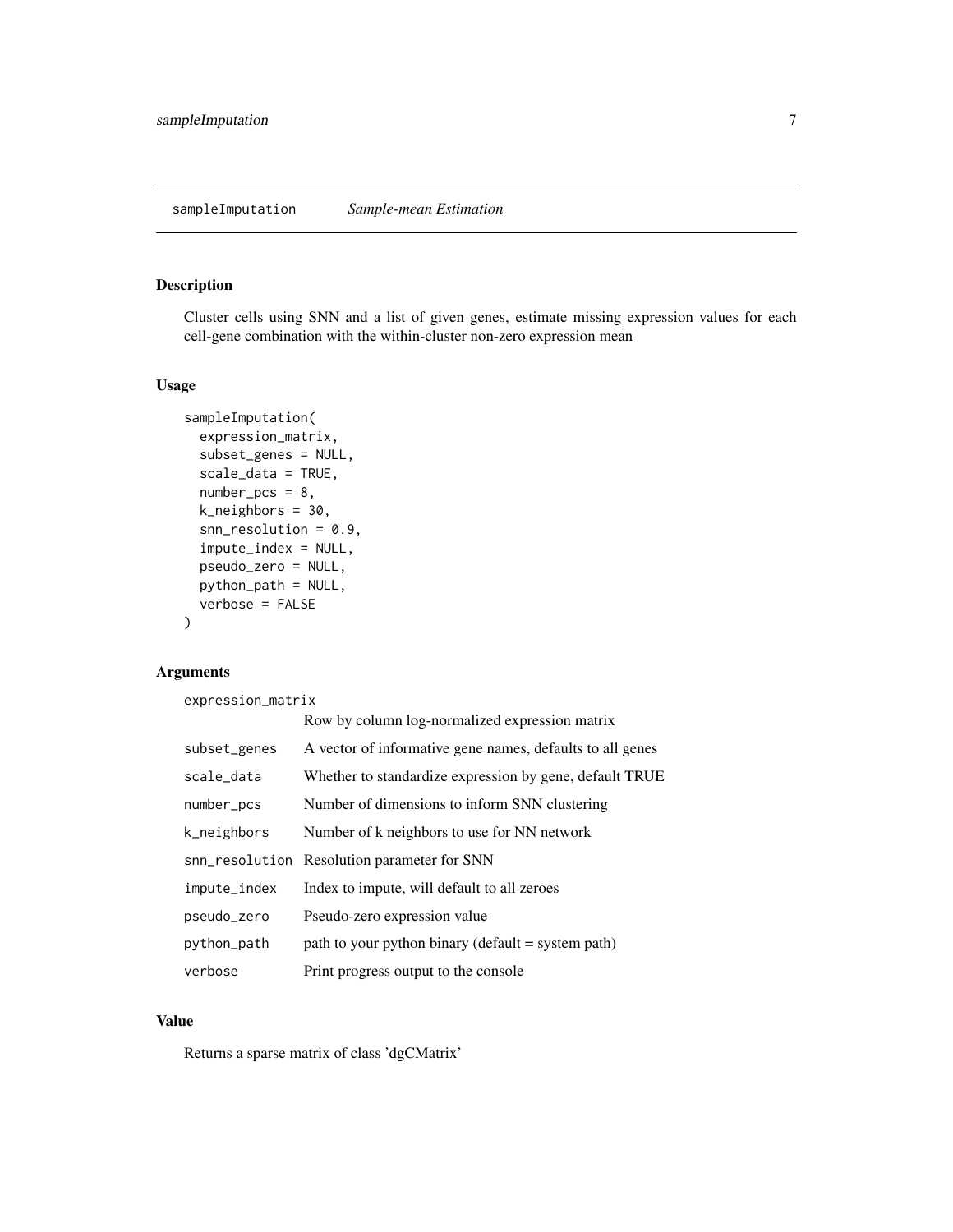#### <span id="page-6-0"></span>Description

Cluster cells using SNN and a list of given genes, estimate missing expression values for each cell-gene combination with the within-cluster non-zero expression mean

#### Usage

```
sampleImputation(
  expression_matrix,
  subset_genes = NULL,
  scale_data = TRUE,
  number_pcs = 8,
 k_neighbors = 30,
  snn_resolution = 0.9,
  impute_index = NULL,
  pseudo_zero = NULL,
 python_path = NULL,
  verbose = FALSE
)
```
#### Arguments

expression\_matrix

|              | Row by column log-normalized expression matrix            |
|--------------|-----------------------------------------------------------|
| subset_genes | A vector of informative gene names, defaults to all genes |
| scale_data   | Whether to standardize expression by gene, default TRUE   |
| number_pcs   | Number of dimensions to inform SNN clustering             |
| k_neighbors  | Number of k neighbors to use for NN network               |
|              | snn_resolution Resolution parameter for SNN               |
| impute_index | Index to impute, will default to all zeroes               |
| pseudo_zero  | Pseudo-zero expression value                              |
| python_path  | path to your python binary (default $=$ system path)      |
| verbose      | Print progress output to the console.                     |

#### Value

Returns a sparse matrix of class 'dgCMatrix'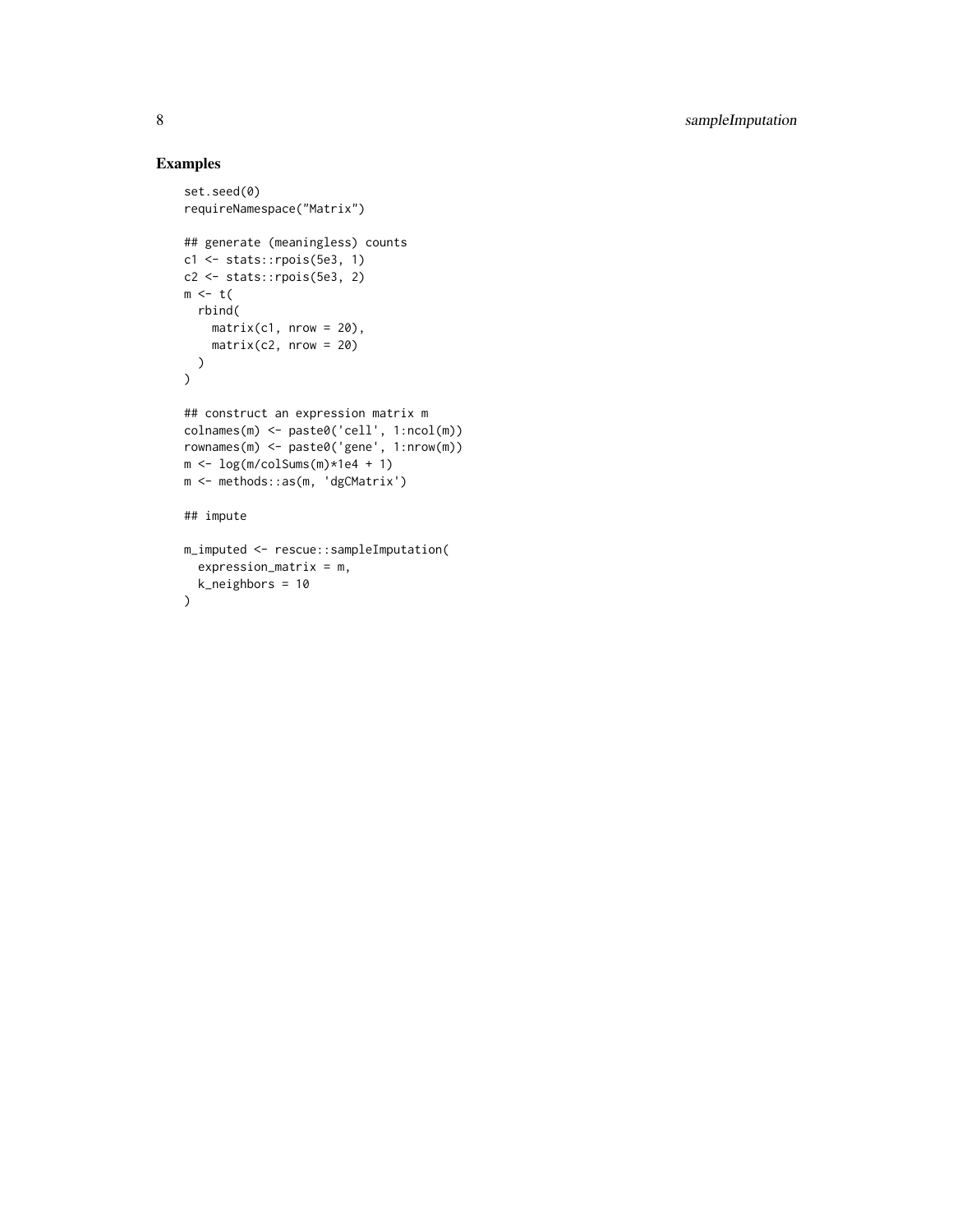#### Examples

```
set.seed(0)
requireNamespace("Matrix")
## generate (meaningless) counts
c1 <- stats::rpois(5e3, 1)
c2 <- stats::rpois(5e3, 2)
m \leftarrow t(
 rbind(
    matrix(c1, nrow = 20),
    matrix(c2, nrow = 20)
  )
)
## construct an expression matrix m
colnames(m) <- paste0('cell', 1:ncol(m))
rownames(m) <- paste0('gene', 1:nrow(m))
m \leftarrow \log(m/\text{colSums}(m) \times 1e4 + 1)m <- methods::as(m, 'dgCMatrix')
## impute
m_imputed <- rescue::sampleImputation(
  expression_matrix = m,
  k_neighbors = 10
\mathcal{L}
```